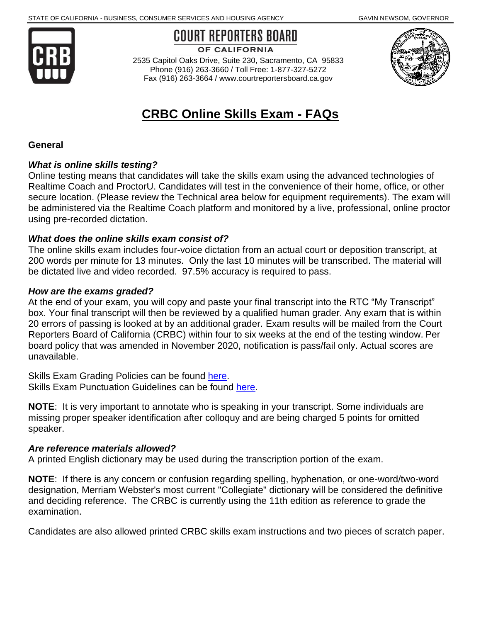

COURT REPORTERS BOARD

OF CALIFORNIA

 2535 Capitol Oaks Drive, Suite 230, Sacramento, CA 95833 Phone (916) 263-3660 / Toll Free: 1-877-327-5272 Fax (916) 263-3664 / [www.courtreportersboard.ca.gov](https://www.courtreportersboard.ca.gov/) 



# **CRBC Online Skills Exam - FAQs**

#### **General**

#### *What is online skills testing?*

Online testing means that candidates will take the skills exam using the advanced technologies of Realtime Coach and ProctorU. Candidates will test in the convenience of their home, office, or other secure location. (Please review the Technical area below for equipment requirements). The exam will be administered via the Realtime Coach platform and monitored by a live, professional, online proctor using pre-recorded dictation.

#### *What does the online skills exam consist of?*

 200 words per minute for 13 minutes. Only the last 10 minutes will be transcribed. The material will be dictated live and video recorded. 97.5% accuracy is required to pass. The online skills exam includes four-voice dictation from an actual court or deposition transcript, at

#### *How are the exams graded?*

 20 errors of passing is looked at by an additional grader. Exam results will be mailed from the Court Reporters Board of California (CRBC) within four to six weeks at the end of the testing window. Per At the end of your exam, you will copy and paste your final transcript into the RTC "My Transcript" box. Your final transcript will then be reviewed by a qualified human grader. Any exam that is within board policy that was amended in November 2020, notification is pass/fail only. Actual scores are unavailable.

Skills Exam Grading Policies can be found [here.](https://courtreportersboard.ca.gov/applicants/grad-policies.pdf) Skills Exam Punctuation Guidelines can be found [here.](https://courtreportersboard.ca.gov/applicants/punc-guidelines.pdf)

 **NOTE**: It is very important to annotate who is speaking in your transcript. Some individuals are missing proper speaker identification after colloquy and are being charged 5 points for omitted speaker.

#### *Are reference materials allowed?*

A printed English dictionary may be used during the transcription portion of the exam.

 **NOTE**: If there is any concern or confusion regarding spelling, hyphenation, or one-word/two-word designation, Merriam Webster's most current "Collegiate" dictionary will be considered the definitive and deciding reference. The CRBC is currently using the 11th edition as reference to grade the examination.

Candidates are also allowed printed CRBC skills exam instructions and two pieces of scratch paper.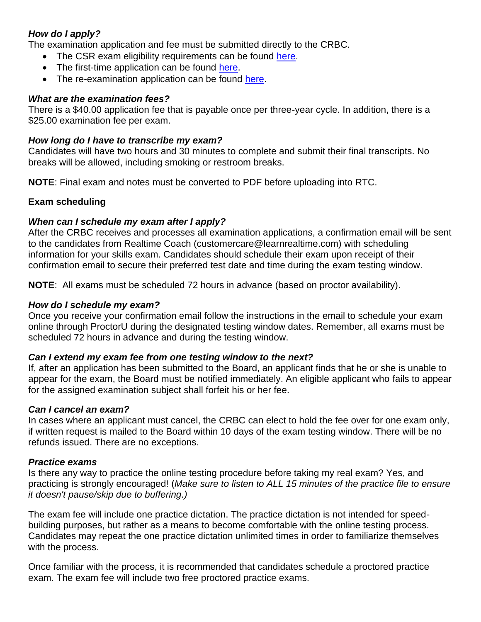## *How do I apply?*

The examination application and fee must be submitted directly to the CRBC.

- The CSR exam eligibility requirements can be found [here.](https://courtreportersboard.ca.gov/applicants/eligibility.shtml)
- The first-time application can be found [here.](https://courtreportersboard.ca.gov/applicants/firsttime.shtml)
- The re-examination application can be found [here.](https://courtreportersboard.ca.gov/applicants/reexam.shtml)

#### *What are the examination fees?*

There is a \$40.00 application fee that is payable once per three-year cycle. In addition, there is a \$25.00 examination fee per exam.

#### *How long do I have to transcribe my exam?*

Candidates will have two hours and 30 minutes to complete and submit their final transcripts. No breaks will be allowed, including smoking or restroom breaks.

**NOTE**: Final exam and notes must be converted to PDF before uploading into RTC.

## **Exam scheduling**

## *When can I schedule my exam after I apply?*

After the CRBC receives and processes all examination applications, a confirmation email will be sent to the candidates from Realtime Coach ([customercare@learnrealtime.com\)](mailto:customercare@learnrealtime.com) with scheduling information for your skills exam. Candidates should schedule their exam upon receipt of their confirmation email to secure their preferred test date and time during the exam testing window.

**NOTE**: All exams must be scheduled 72 hours in advance (based on proctor availability).

## *How do I schedule my exam?*

 online through ProctorU during the designated testing window dates. Remember, all exams must be scheduled 72 hours in advance and during the testing window. Once you receive your confirmation email follow the instructions in the email to schedule your exam

#### *Can I extend my exam fee from one testing window to the next?*

 If, after an application has been submitted to the Board, an applicant finds that he or she is unable to appear for the exam, the Board must be notified immediately. An eligible applicant who fails to appear for the assigned examination subject shall forfeit his or her fee.

#### *Can I cancel an exam?*

 In cases where an applicant must cancel, the CRBC can elect to hold the fee over for one exam only, if written request is mailed to the Board within 10 days of the exam testing window. There will be no refunds issued. There are no exceptions.

#### *Practice exams*

Is there any way to practice the online testing procedure before taking my real exam? Yes, and practicing is strongly encouraged! (*Make sure to listen to ALL 15 minutes of the practice file to ensure it doesn't pause/skip due to buffering.)* 

 building purposes, but rather as a means to become comfortable with the online testing process. The exam fee will include one practice dictation. The practice dictation is not intended for speed-Candidates may repeat the one practice dictation unlimited times in order to familiarize themselves with the process.

 Once familiar with the process, it is recommended that candidates schedule a proctored practice exam. The exam fee will include two free proctored practice exams.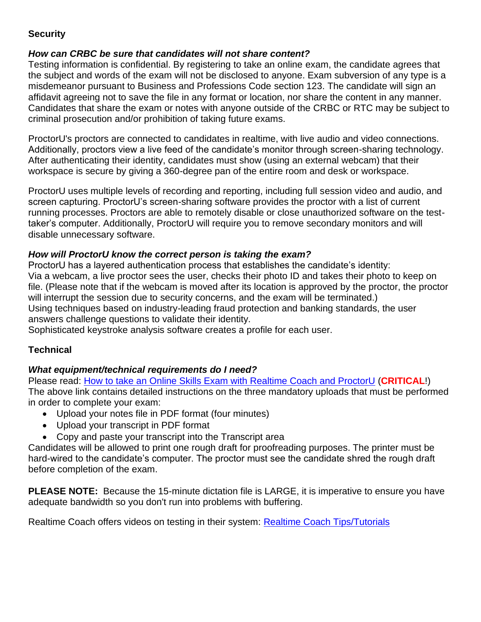# **Security**

## *How can CRBC be sure that candidates will not share content?*

 Testing information is confidential. By registering to take an online exam, the candidate agrees that the subject and words of the exam will not be disclosed to anyone. Exam subversion of any type is a Candidates that share the exam or notes with anyone outside of the CRBC or RTC may be subject to misdemeanor pursuant to Business and Professions Code section 123. The candidate will sign an affidavit agreeing not to save the file in any format or location, nor share the content in any manner. criminal prosecution and/or prohibition of taking future exams.

 workspace is secure by giving a 360-degree pan of the entire room and desk or workspace. ProctorU's proctors are connected to candidates in realtime, with live audio and video connections. Additionally, proctors view a live feed of the candidate's monitor through screen-sharing technology. After authenticating their identity, candidates must show (using an external webcam) that their

 ProctorU uses multiple levels of recording and reporting, including full session video and audio, and screen capturing. ProctorU's screen-sharing software provides the proctor with a list of current taker's computer. Additionally, ProctorU will require you to remove secondary monitors and will running processes. Proctors are able to remotely disable or close unauthorized software on the testdisable unnecessary software.

## *How will ProctorU know the correct person is taking the exam?*

 Via a webcam, a live proctor sees the user, checks their photo ID and takes their photo to keep on Using techniques based on industry-leading fraud protection and banking standards, the user ProctorU has a layered authentication process that establishes the candidate's identity: file. (Please note that if the webcam is moved after its location is approved by the proctor, the proctor will interrupt the session due to security concerns, and the exam will be terminated.) answers challenge questions to validate their identity.

Sophisticated keystroke analysis software creates a profile for each user.

# **Technical**

## *What equipment/technical requirements do I need?*

Please read: [How to take an Online Skills Exam with Realtime Coach and ProctorU](https://courtreportersboard.ca.gov/applicants/skills_exam_instructions.pdf) (**CRITICAL**!) The above link contains detailed instructions on the three mandatory uploads that must be performed in order to complete your exam:

- Upload your notes file in PDF format (four minutes)
- Upload your transcript in PDF format
- Copy and paste your transcript into the Transcript area

Candidates will be allowed to print one rough draft for proofreading purposes. The printer must be hard-wired to the candidate's computer. The proctor must see the candidate shred the rough draft before completion of the exam.

 **PLEASE NOTE:** Because the 15-minute dictation file is LARGE, it is imperative to ensure you have adequate bandwidth so you don't run into problems with buffering.

Realtime Coach offers videos on testing in their system: [Realtime Coach Tips/Tutorials](http://www.myrealtimecoach.com/Support/Tutorials_RTC3.php)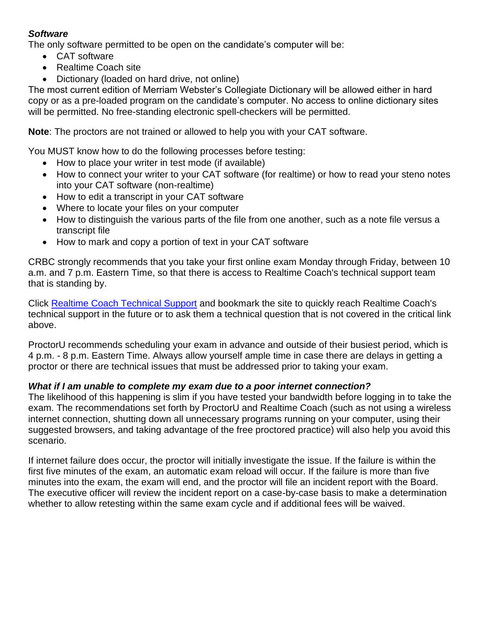## *Software*

The only software permitted to be open on the candidate's computer will be:

- CAT software
- Realtime Coach site
- Dictionary (loaded on hard drive, not online)

 copy or as a pre-loaded program on the candidate's computer. No access to online dictionary sites The most current edition of Merriam Webster's Collegiate Dictionary will be allowed either in hard will be permitted. No free-standing electronic spell-checkers will be permitted.

**Note**: The proctors are not trained or allowed to help you with your CAT software.

You MUST know how to do the following processes before testing:

- How to place your writer in test mode (if available)
- How to connect your writer to your CAT software (for realtime) or how to read your steno notes into your CAT software (non-realtime)
- How to edit a transcript in your CAT software
- Where to locate your files on your computer
- How to distinguish the various parts of the file from one another, such as a note file versus a transcript file
- How to mark and copy a portion of text in your CAT software

CRBC strongly recommends that you take your first online exam Monday through Friday, between 10 a.m. and 7 p.m. Eastern Time, so that there is access to Realtime Coach's technical support team that is standing by.

Click [Realtime Coach Technical Support](http://www.myrealtimecoach.com/als/customercare.php) and bookmark the site to quickly reach Realtime Coach's technical support in the future or to ask them a technical question that is not covered in the critical link above.

 4 p.m. - 8 p.m. Eastern Time. Always allow yourself ample time in case there are delays in getting a proctor or there are technical issues that must be addressed prior to taking your exam. ProctorU recommends scheduling your exam in advance and outside of their busiest period, which is

#### *What if I am unable to complete my exam due to a poor internet connection?*

 The likelihood of this happening is slim if you have tested your bandwidth before logging in to take the suggested browsers, and taking advantage of the free proctored practice) will also help you avoid this exam. The recommendations set forth by ProctorU and Realtime Coach (such as not using a wireless internet connection, shutting down all unnecessary programs running on your computer, using their scenario.

 minutes into the exam, the exam will end, and the proctor will file an incident report with the Board. The executive officer will review the incident report on a case-by-case basis to make a determination whether to allow retesting within the same exam cycle and if additional fees will be waived. If internet failure does occur, the proctor will initially investigate the issue. If the failure is within the first five minutes of the exam, an automatic exam reload will occur. If the failure is more than five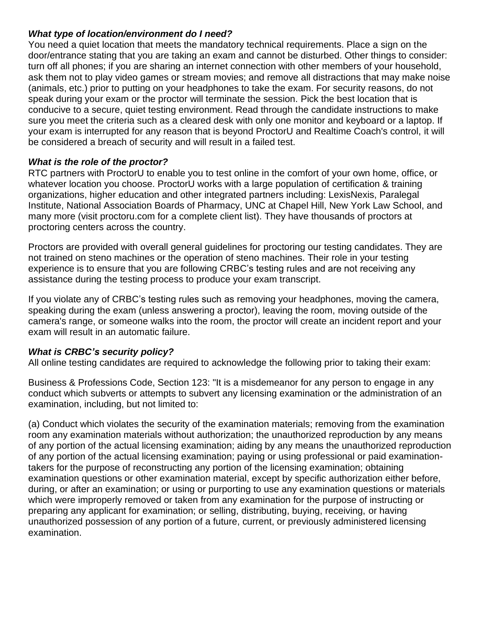## *What type of location/environment do I need?*

 door/entrance stating that you are taking an exam and cannot be disturbed. Other things to consider: ask them not to play video games or stream movies; and remove all distractions that may make noise You need a quiet location that meets the mandatory technical requirements. Place a sign on the turn off all phones; if you are sharing an internet connection with other members of your household, (animals, etc.) prior to putting on your headphones to take the exam. For security reasons, do not speak during your exam or the proctor will terminate the session. Pick the best location that is conducive to a secure, quiet testing environment. Read through the candidate instructions to make sure you meet the criteria such as a cleared desk with only one monitor and keyboard or a laptop. If your exam is interrupted for any reason that is beyond ProctorU and Realtime Coach's control, it will be considered a breach of security and will result in a failed test.

## *What is the role of the proctor?*

RTC partners with ProctorU to enable you to test online in the comfort of your own home, office, or whatever location you choose. ProctorU works with a large population of certification & training organizations, higher education and other integrated partners including: LexisNexis, Paralegal Institute, National Association Boards of Pharmacy, UNC at Chapel Hill, New York Law School, and many more (visit [proctoru.com](https://proctoru.com) for a complete client list). They have thousands of proctors at proctoring centers across the country.

 Proctors are provided with overall general guidelines for proctoring our testing candidates. They are assistance during the testing process to produce your exam transcript. not trained on steno machines or the operation of steno machines. Their role in your testing experience is to ensure that you are following CRBC's testing rules and are not receiving any

 speaking during the exam (unless answering a proctor), leaving the room, moving outside of the If you violate any of CRBC's testing rules such as removing your headphones, moving the camera, camera's range, or someone walks into the room, the proctor will create an incident report and your exam will result in an automatic failure.

## *What is CRBC's security policy?*

All online testing candidates are required to acknowledge the following prior to taking their exam:

 Business & Professions Code, Section 123: "It is a misdemeanor for any person to engage in any conduct which subverts or attempts to subvert any licensing examination or the administration of an examination, including, but not limited to:

 of any portion of the actual licensing examination; aiding by any means the unauthorized reproduction of any portion of the actual licensing examination; paying or using professional or paid examination- during, or after an examination; or using or purporting to use any examination questions or materials (a) Conduct which violates the security of the examination materials; removing from the examination room any examination materials without authorization; the unauthorized reproduction by any means takers for the purpose of reconstructing any portion of the licensing examination; obtaining examination questions or other examination material, except by specific authorization either before, which were improperly removed or taken from any examination for the purpose of instructing or preparing any applicant for examination; or selling, distributing, buying, receiving, or having unauthorized possession of any portion of a future, current, or previously administered licensing examination.